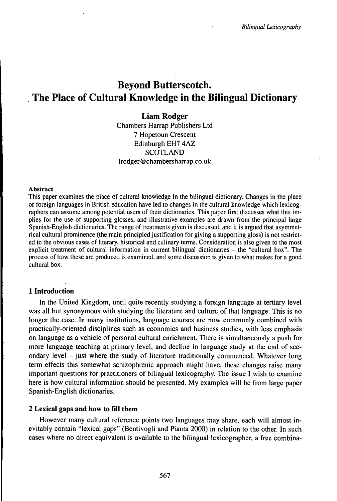# Beyond Butterscotch. The Place of Cultural Knowledge in the Bilingual Dictionary

# **Liam Rodger**

Chambers Harrap Publishers Ltd 7 Hopetoun Crescent Edinburgh EH7 4AZ **SCOTLAND** lrodger@chambersharrap.co.uk

#### Abstract

This paper examines the place of cultural knowledge in the bilingual dictionary. Changes in the place of foreign languages in British education have led to changes in the cultural knowledge which lexicographers can assume among potential users of their dictionaries. This paper first discusses what this implies for the use of supporting glosses, and illustrative examples are drawn from the principal large Spanish-English dictionaries. The range of treatments given is discussed, and it is argued that asymmetrical cultural prominence (the main principled justification for giving a supporting gloss) is not restricted to the obvious cases of literary, historical and culinary terms. Consideration is also given to the most explicit treatment of cultural information in current bilingual dictionaries – the "cultural box". The process of how these are produced is examined, and some discussion is given to what makes for a good cultural box.

# **1 Introduction**

In the United Kingdom, until quite recently studying a foreign language at tertiary level was all but synonymous with studying the literature and culture of that language. This is no longer the case. In many institutions, language courses are now commonly combined with practically-oriented disciplines such as economics and business studies, with less emphasis on language as a vehicle of personal cultural enrichment. There is simultaneously a push for more language teaching at primary level, and decline in language study at the end of secondary level - just where the study of literature traditionally commenced. Whatever long term effects this somewhat schizophrenic approach might have, these changes raise many important questions for practitioners of bilingual lexicography. The issue I wish to examine here is how cultural information should be presented. My examples will be from large paper Spanish-English dictionaries.

## **2 Lexical** gaps **and how to fill them**

However many cultural reference points two languages may share, each will almost inevitably contain "lexical gaps" (Bentivogli and Pianta 2000) in relation to the other. In such cases where no direct equivalent is available to the bilingual lexicographer, a free combina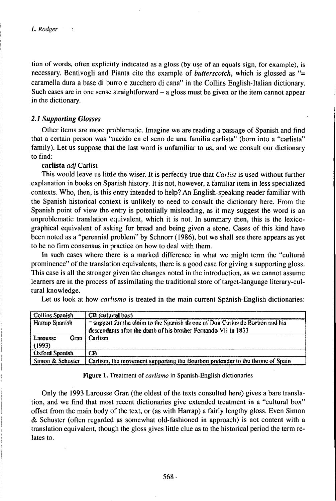tion of words, often explicitly indicated as a gloss (by use of an equals sign, for example), is necessary. Bentivogli and Pianta cite the example of *butterscotch,* which is glossed as "= caramella dura a base di burro e zucchero di cana" in the Collins English-Italian dictionary. Such cases are in one sense straightforward  $-$  a gloss must be given or the item cannot appear in the dictionary.

## *2.1 Supporting Gbsses*

Other items are more problematic. Imagine we are reading a passage of Spanish and find that a certain person was "nacido en el seno de una familia carlista" (born into a "carlista" family). Let us suppose that the last word is unfamiliar to us, and we consult our dictionary to find:

carlista *adj* Carlist

This would leave us little the wiser. It is perfectly true that *Carlist* is used without further explanation in books on Spanish history. It is not, however, a familiar item in less specialized contexts. Who, then, is this entry intended to help? An English-speaking reader familiar with the Spanish historical context is unlikely to need to consult the dictionary here. From the Spanish point of view the entry is potentially misleading, as it may suggest the word is an unproblematic translation equivalent, which it is not. In summary then, this is the lexicographical equivalent of asking for bread and being given a stone. Cases of this kind have been noted as a "perennial problem" by Schnorr (1986), but we shall see there appears as yet to be no firm consensus in practice on how to deal with them.

In such cases where there is a marked difference in what we might term the "cultural prominence" of the translation equivalents, there is a good case for giving a supporting gloss. This case is all the stronger given the changes noted in the introduction, as we cannot assume learners are in the process of assimilating the traditional store of target-language literary-cultural knowledge.

| Let us look at how <i>carlismo</i> is treated in the main current Spanish-English dictionaries: |  |  |  |
|-------------------------------------------------------------------------------------------------|--|--|--|
|-------------------------------------------------------------------------------------------------|--|--|--|

| Collins Spanish                                                                                                                                                             | <b>CB</b> (cultural box)                                                      |
|-----------------------------------------------------------------------------------------------------------------------------------------------------------------------------|-------------------------------------------------------------------------------|
| $=$ support for the claim to the Spanish throne of Don Carlos de Borbou and his<br><b>Harrap Spanish</b><br>descendants after the death of his brother Fernando VII in 1833 |                                                                               |
| Gran<br>Larousse<br>(1993)                                                                                                                                                  | Carlism                                                                       |
| <b>Oxford Spanish</b>                                                                                                                                                       | ĊВ                                                                            |
| Simon & Schuster                                                                                                                                                            | Carlism, the movement supporting the Bourbon pretender to the throne of Spain |

Figure 1. Treatment of *carlismo* in Spanish-English dictionaries

Only the 1993 Larousse Gran (the oldest of the texts consulted here) gives a bare translation, and we find that most recent dictionaries give extended treatment in a "cultural box" offset from the main body of the text, or (as with Harrap) a fairly lengthy gloss. Even Simon & Schuster (often regarded as somewhat old-fashioned in approach) is not content with a translation equivalent, though the gloss gives little clue as to the historical period the term relates to.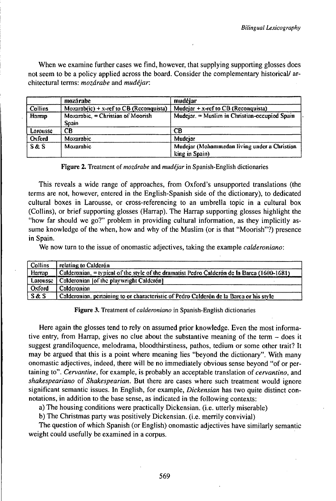When we examine further cases we find, however, that supplying supporting glosses does not seem to be a policy applied across the board. Consider the complementary historical/ architectural terms: *mozárabe* and *mudéjar.*

|          | mozárabe                                    | mudéjar                                                        |
|----------|---------------------------------------------|----------------------------------------------------------------|
| Collins  | Mozarab $(ic)$ + x-ref to CB (Reconquista)  | Mudejar $+x$ -ref to CB (Reconquista)                          |
| Harrap   | Mozambic, $=$ Christian of Moorish<br>Snain | Mudejar. = Muslim in Christian-occupied Spain                  |
| Larousse | CB                                          | <b>CB</b>                                                      |
| Oxford   | Mozarabic                                   | Mudciar                                                        |
| S&S      | Mozarabic                                   | Mudejar (Mohammedan living under a Christian<br>king in Spain) |

## Figure 2. Treatment of *mozárabe* and *mudéjar* in Spanish-English dictionaries

This reveals a wide range of approaches, from Oxford's unsupported translations (the terms are not, however, entered in the English-Spanish side of the dictionary), to dedicated cultural boxes in Larousse, or cross-referencing to an umbrella topic in a cultural box (Collins), or brief supporting glosses (Harrap). The Harrap supporting glosses highlight the "how far should we go?" problem in providing cultural information, as they implicitly assume knowledge of the when, how and why of the Muslim (or is that "Moorish"?) presence in Spain.

We now turn to the issue of onomastic adjectives, taking the example *calderoniano*:

| Collins  | relating to Calderón                                                                        |
|----------|---------------------------------------------------------------------------------------------|
| Harran   | Calderonian, = typical of the style of the dramatist Pedro Calderon de la Barca (1600-1681) |
| Larousse | Calderonian 1of the playwright Calderón1                                                    |
| Oxford   | . Calderonian .                                                                             |
| S&S      | Calderonian, pertaining to or characteristic of Pedro Calderón de la Barca or his style     |

Figure 3. Treatment of *calderoniano* in Spanish-English dictionaries

Here again the glosses tend to rely on assumed prior knowledge. Even the most informative entry, from Harrap, gives no clue about the substantive meaning of the term - does it suggest grandiloquence, melodrama, bloodthirstiness, pathos, tedium or some other trait? It may be argued that this is a point where meaning lies "beyond the dictionary". With many onomastic adjectives, indeed, there will be no immediately obvious sense beyond "of or pertaining to". *Cervantine,* for example, is probably an acceptable translation *oïcervantino,* and *shakespeariano* of *Shakespearian.* But there are cases where such treatment would ignore significant semantic issues. In English, for example, *Dickensian* has two quite distinct connotations, in addition to the base sense, as indicated in the following contexts:

a) The housing conditions were practically Dickensian. (i.e. utterly miserable)

b) The Christmas party was positively Dickensian. (i.e. merrily convivial)

The question of which Spanish (or English) onomastic adjectives have similarly semantic weight could usefully be examined in a corpus.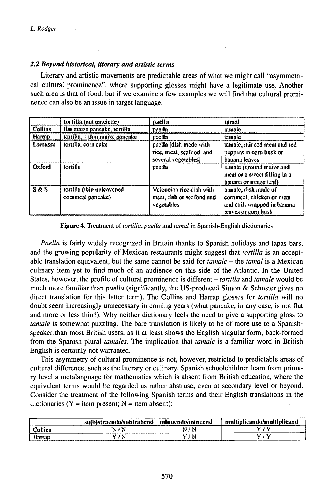# *2.2 Beyond historical, literary and artistic terms*

Literary and artistic movements are predictable areas of what we might call "asymmetrical cultural prominence", where supporting glosses might have a legitimate use. Another such area is that of food, but if we examine a few examples we will find that cultural prominence can also be an issue in target language.

|                | tortilla (not omelette)                       | pacila                                                                    | tamal                                                                                                  |
|----------------|-----------------------------------------------|---------------------------------------------------------------------------|--------------------------------------------------------------------------------------------------------|
| <b>Collins</b> | flat maize pancake, tortilla                  | pacila                                                                    | tamale                                                                                                 |
| Harrap         | tortilla, $=$ thin maize paneake              | paella                                                                    | tamale                                                                                                 |
| Larousse       | tortilla, corn cake                           | paella [dish made with<br>rice, meat, seafood, and<br>several vegetables] | tainale, ininced meat and red<br>peppers in corn husk or<br>banana leaves                              |
| Oxford         | tortilla                                      | paella                                                                    | tamale (ground maize and<br>meat or a sweet filling in a<br>banana or maize leaf)                      |
| S & S          | tortilla (thin unleavened<br>commeal pancake) | Valencian rice dish with<br>meat, fish or seafood and<br>vegetables       | tamale, dish made of<br>commeal, chicken or meat<br>and chili wrapped in banana<br>leaves or corn husk |

Figure 4. Treatment of *tortilla, paella* and *tamal* in Spanish-English dictionaries

*Paella* is fairly widely recognized in Britain thanks to Spanish holidays and tapas bars, and the growing popularity of Mexican restaurants might suggest that *tortilla* is an acceptable translation equivalent, but the same cannot be said for *tamale -* the *tamal* is <sup>a</sup> Mexican culinary item yet to find much of an audience on this side of the Atlantic. In the United States, however, the profile of cultural prominence is different – *tortilla* and *tamale* would be much more familiar than *paella* (significantly, the US-produced Simon & Schuster gives no direct translation for this latter term). The Collins and Harrap glosses for *tortilla* will no doubt seem increasingly unnecessary in coming years (what pancake, in any case, is not flat and more or less thin?). Why neither dictionary feels the need to give a supporting gloss to *tamale* is somewhat puzzling. The bare translation is likely to be of more use to a Spanishspeaker.than most British users, as it at least shows the English singular form, back-formed from the Spanish plural *tamales.* The implication that *tamale* is a familiar word in British English is certainly not warranted.

This asymmetry of cultural prominence is not, however, restricted to predictable areas of cultural difference, such as the literary or culinary. Spanish schoolchildren learn from primary level a metalanguage for mathematics which is absent from British education, where the equivalent terms would be regarded as rather abstruse, even at secondary level or beyond. Consider the treatment of the following Spanish terms and their English translations in the dictionaries ( $Y = item present$ ;  $N = item absent$ ):

|         | suibist<br>trændo/subtrahend | inuend<br>-minuendo/m | 'tand<br>tinlicandalmur |
|---------|------------------------------|-----------------------|-------------------------|
| Collins | $2 - 1$                      |                       | 1 M                     |
| Horrap  |                              | w                     | rad                     |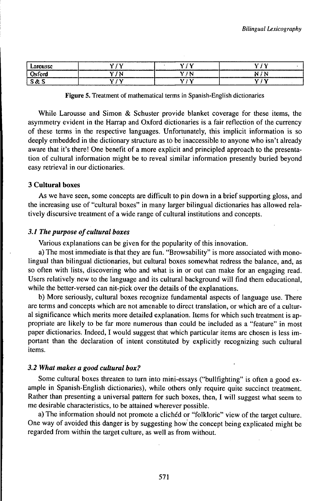| Largusse              |              | ---------------------------- |    |
|-----------------------|--------------|------------------------------|----|
| -----------<br>)xford |              | ١N                           | ь  |
|                       | <b>A 3.7</b> |                              | -- |

**Figure 5.** Treatment of mathematical terms in Spanish-English dictionaries

While Larousse and Simon & Schuster provide blanket coverage for these items, the asymmetry evident in the Harrap and Oxford dictionaries is a fair reflection of the currency of these terms in the respective languages. Unfortunately, this implicit information is so deeply embedded in the dictionary structure as tó be inaccessible to anyone who isn't already aware that it's there! One benefit of a more explicit and principled approach to the presentation of cultural information might be to reveal similar information presently buried beyond easy retrieval in our dictionaries.

## **3 Cultural boxes**

As we have seen, some concepts are difficult to pin down in a brief supporting gloss, and the increasing use of "cultural boxes" in many larger bilingual dictionaries has allowed relatively discursive treatment of a wide range of cultural institutions and concepts.

## *3.1 The purpose of cultural boxes*

Various explanations can be given for the popularity of this innovation.

a) The most immediate is that they are fun. "Browsability" is more associated with monolingual than bilingual dictionaries, but cultural boxes somewhat redress the balance, and, as so often with lists, discovering who and what is in or out can make for an engaging read. Users relatively new to the language and its cultural background will find them educational, while the better-versed can nit-pick over the details of the explanations.

b) More seriously, cultural boxes recognize fundamental aspects of language use. There are terms and concepts which are not amenable to direct translation, or which are of a cultural significance which merits more detailed explanation. Items for which such treatment is appropriate are likely to be far more numerous than could be included as a "feature" in most paper dictionaries. Indeed, I would suggest that which particular items are chosen is less important than the declaration of intent constituted by explicitly recognizing such cultural items.

## *3.2 What makes a good cultural box?*

Some cultural boxes threaten to turn into mini-essays ("bullfighting" is often a good example in Spanish-English dictionaries), while others only require quite succinct treatment. Rather than presenting a universal pattern for such boxes, then, I will suggest what seem to me desirable characteristics, to be attained wherever possible.

a) The information should not promote a clichéd or "folkloric" view of the target culture. One way of avoided this danger is by suggesting how the concept being explicated might be regarded from within the target culture, as well as from without.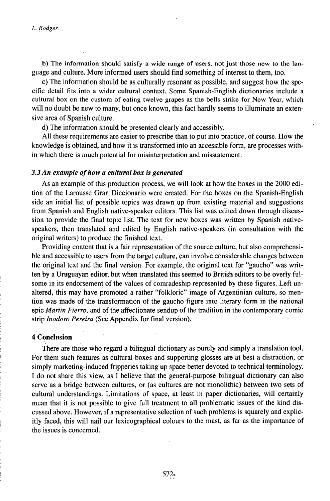b) The information should satisfy a wide range of users, not just those new to the language and culture. More informed users should find something of interest to them, too.

c) The information should be as culturally resonant as possible, and suggest how the specific detail fits into a wider cultural context. Some Spanish-English dictionaries include a cultural box on the custom of eating twelve grapes as the bells strike for New Year, which will no doubt be new to many, but once known, this fact hardly seems to illuminate an extensive area of Spanish culture.

d) The information should be presented clearly and accessibly.

All these requirements are easier to prescribe than to put into practice, of course. How the knowledge is obtained, and how it is transformed into an accessible form, are processes within which there is much potential for misinterpretation and misstatement.

#### *3.3An example ofhow a cultural box is generated*

As an example of this production process, we will look at how the boxes in the 2000 edition of the Larousse Gran Diccionario were created. For the boxes on the Spanish-English side an initial list of possible topics was drawn up from existing material and suggestions from Spanish and English native-speaker editors. This list was edited down through discussion to provide the final topic list. The text for new boxes was written by Spanish nativespeakers, then translated and edited by English native-speakers (in consultation with the original writers) to produce the finished text.

Providing content that is a fair representation of the source culture, but also comprehensible and accessible to users from the target culture, can involve considerable changes between the original text and the final version. For example, the original text for "gaucho" was written by a Uruguayan editor, but when translated this seemed to British editors to be overly fulsome in its endorsement of the values of comradeship represented by these figures. Left unaltered, this may have promoted a rather "folkloric" image of Argentinian culture, so mention was made of the transformation of the gaucho figure into literary form in the national epic *Martin Fierro*, and of the affectionate sendup of the tradition in the contemporary comic strip *Inodoro Pereira* (See Appendix for final version).

#### **4 Conclusion**

There are those who regard a bilingual dictionary as purely and simply a translation topl. For them such features as cultural boxes and supporting glosses are at best a distraction, or simply marketing-induced fripperies taking up space better devoted to technical terminology. I do not share this view, as I believe that the general-purpose bilingual dictionary can also serve as a bridge between cultures, or (as cultures are not monolithic) between two sets of cultural understandings. Limitations of space, at least in paper dictionaries, will certainly mean that it is not possible to give full treatment to all problematic issues of the kind discussed above. However, if a representative selection of such problems is squarely and explicitly faced, this will nail our lexicographical colours to the mast, as far as the importance of the issues is concerned.